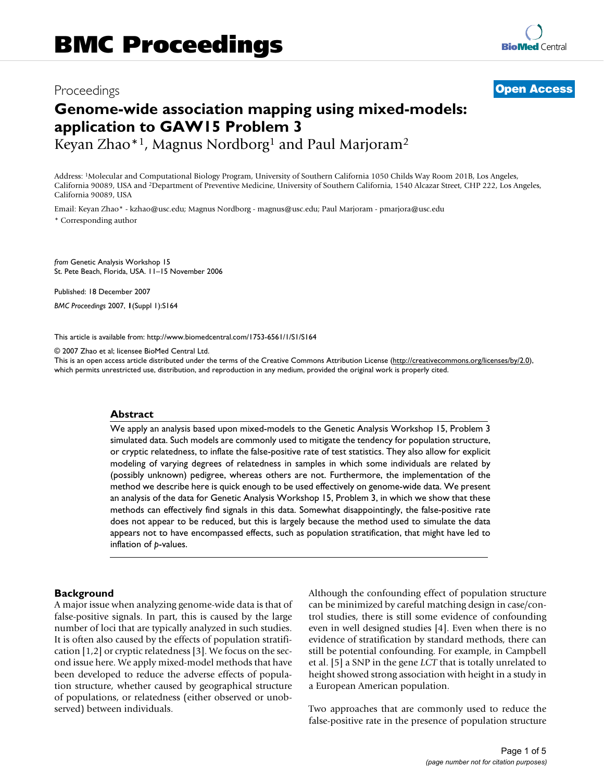# Proceedings **[Open Access](http://www.biomedcentral.com/info/about/charter/)**

# **Genome-wide association mapping using mixed-models: application to GAW15 Problem 3**

Keyan Zhao\*1, Magnus Nordborg1 and Paul Marjoram2

Address: 1Molecular and Computational Biology Program, University of Southern California 1050 Childs Way Room 201B, Los Angeles, California 90089, USA and 2Department of Preventive Medicine, University of Southern California, 1540 Alcazar Street, CHP 222, Los Angeles, California 90089, USA

Email: Keyan Zhao\* - kzhao@usc.edu; Magnus Nordborg - magnus@usc.edu; Paul Marjoram - pmarjora@usc.edu \* Corresponding author

*from* Genetic Analysis Workshop 15 St. Pete Beach, Florida, USA. 11–15 November 2006

Published: 18 December 2007

*BMC Proceedings* 2007, **1**(Suppl 1):S164

[This article is available from: http://www.biomedcentral.com/1753-6561/1/S1/S164](http://www.biomedcentral.com/1753-6561/1/S1/S164)

© 2007 Zhao et al; licensee BioMed Central Ltd.

This is an open access article distributed under the terms of the Creative Commons Attribution License [\(http://creativecommons.org/licenses/by/2.0\)](http://creativecommons.org/licenses/by/2.0), which permits unrestricted use, distribution, and reproduction in any medium, provided the original work is properly cited.

#### **Abstract**

We apply an analysis based upon mixed-models to the Genetic Analysis Workshop 15, Problem 3 simulated data. Such models are commonly used to mitigate the tendency for population structure, or cryptic relatedness, to inflate the false-positive rate of test statistics. They also allow for explicit modeling of varying degrees of relatedness in samples in which some individuals are related by (possibly unknown) pedigree, whereas others are not. Furthermore, the implementation of the method we describe here is quick enough to be used effectively on genome-wide data. We present an analysis of the data for Genetic Analysis Workshop 15, Problem 3, in which we show that these methods can effectively find signals in this data. Somewhat disappointingly, the false-positive rate does not appear to be reduced, but this is largely because the method used to simulate the data appears not to have encompassed effects, such as population stratification, that might have led to inflation of *p*-values.

#### **Background**

A major issue when analyzing genome-wide data is that of false-positive signals. In part, this is caused by the large number of loci that are typically analyzed in such studies. It is often also caused by the effects of population stratification [1,2] or cryptic relatedness [3]. We focus on the second issue here. We apply mixed-model methods that have been developed to reduce the adverse effects of population structure, whether caused by geographical structure of populations, or relatedness (either observed or unobserved) between individuals.

Although the confounding effect of population structure can be minimized by careful matching design in case/control studies, there is still some evidence of confounding even in well designed studies [4]. Even when there is no evidence of stratification by standard methods, there can still be potential confounding. For example, in Campbell et al. [5] a SNP in the gene *LCT* that is totally unrelated to height showed strong association with height in a study in a European American population.

Two approaches that are commonly used to reduce the false-positive rate in the presence of population structure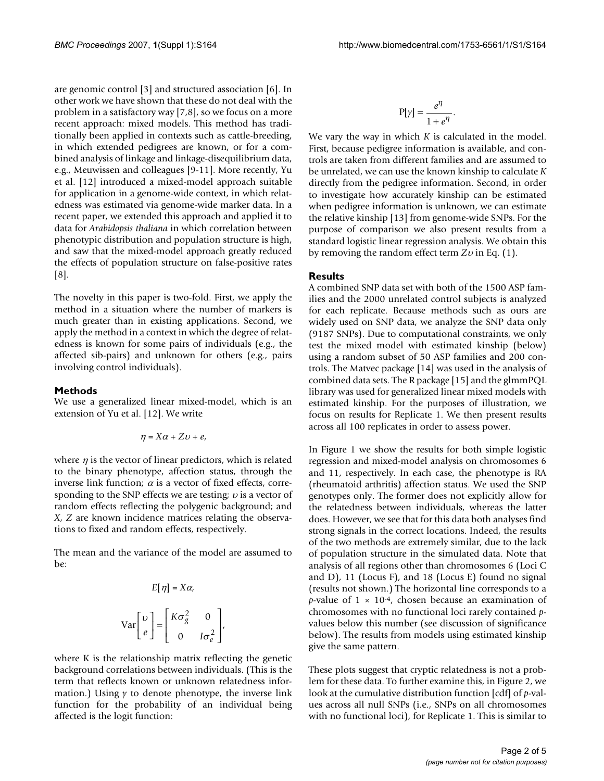are genomic control [3] and structured association [6]. In other work we have shown that these do not deal with the problem in a satisfactory way [7,8], so we focus on a more recent approach: mixed models. This method has traditionally been applied in contexts such as cattle-breeding, in which extended pedigrees are known, or for a combined analysis of linkage and linkage-disequilibrium data, e.g., Meuwissen and colleagues [9-11]. More recently, Yu et al. [12] introduced a mixed-model approach suitable for application in a genome-wide context, in which relatedness was estimated via genome-wide marker data. In a recent paper, we extended this approach and applied it to data for *Arabidopsis thaliana* in which correlation between phenotypic distribution and population structure is high, and saw that the mixed-model approach greatly reduced the effects of population structure on false-positive rates [8].

The novelty in this paper is two-fold. First, we apply the method in a situation where the number of markers is much greater than in existing applications. Second, we apply the method in a context in which the degree of relatedness is known for some pairs of individuals (e.g., the affected sib-pairs) and unknown for others (e.g., pairs involving control individuals).

#### **Methods**

We use a generalized linear mixed-model, which is an extension of Yu et al. [12]. We write

$$
\eta = X\alpha + Z\upsilon + e,
$$

where  $\eta$  is the vector of linear predictors, which is related to the binary phenotype, affection status, through the inverse link function;  $\alpha$  is a vector of fixed effects, corresponding to the SNP effects we are testing;  $v$  is a vector of random effects reflecting the polygenic background; and *X*, *Z* are known incidence matrices relating the observations to fixed and random effects, respectively.

The mean and the variance of the model are assumed to be:

$$
E[\eta] = X\alpha,
$$
  
 
$$
Var\left[\begin{array}{c}U\\e\end{array}\right] = \left[\begin{array}{cc}K\sigma_g^2 & 0\\0 & I\sigma_e^2\end{array}\right],
$$

where K is the relationship matrix reflecting the genetic background correlations between individuals. (This is the term that reflects known or unknown relatedness information.) Using  $y$  to denote phenotype, the inverse link function for the probability of an individual being affected is the logit function:

$$
P[\gamma] = \frac{e^{\eta}}{1 + e^{\eta}}.
$$

We vary the way in which *K* is calculated in the model. First, because pedigree information is available, and controls are taken from different families and are assumed to be unrelated, we can use the known kinship to calculate *K* directly from the pedigree information. Second, in order to investigate how accurately kinship can be estimated when pedigree information is unknown, we can estimate the relative kinship [13] from genome-wide SNPs. For the purpose of comparison we also present results from a standard logistic linear regression analysis. We obtain this by removing the random effect term *Z*<sup>υ</sup> in Eq. (1).

#### **Results**

A combined SNP data set with both of the 1500 ASP families and the 2000 unrelated control subjects is analyzed for each replicate. Because methods such as ours are widely used on SNP data, we analyze the SNP data only (9187 SNPs). Due to computational constraints, we only test the mixed model with estimated kinship (below) using a random subset of 50 ASP families and 200 controls. The Matvec package [14] was used in the analysis of combined data sets. The R package [15] and the glmmPQL library was used for generalized linear mixed models with estimated kinship. For the purposes of illustration, we focus on results for Replicate 1. We then present results across all 100 replicates in order to assess power.

In Figure 1 we show the results for both simple logistic regression and mixed-model analysis on chromosomes 6 and 11, respectively. In each case, the phenotype is RA (rheumatoid arthritis) affection status. We used the SNP genotypes only. The former does not explicitly allow for the relatedness between individuals, whereas the latter does. However, we see that for this data both analyses find strong signals in the correct locations. Indeed, the results of the two methods are extremely similar, due to the lack of population structure in the simulated data. Note that analysis of all regions other than chromosomes 6 (Loci C and D), 11 (Locus F), and 18 (Locus E) found no signal (results not shown.) The horizontal line corresponds to a *p*-value of  $1 \times 10^{-4}$ , chosen because an examination of chromosomes with no functional loci rarely contained *p*values below this number (see discussion of significance below). The results from models using estimated kinship give the same pattern.

These plots suggest that cryptic relatedness is not a problem for these data. To further examine this, in Figure 2, we look at the cumulative distribution function [cdf] of *p*-values across all null SNPs (i.e., SNPs on all chromosomes with no functional loci), for Replicate 1. This is similar to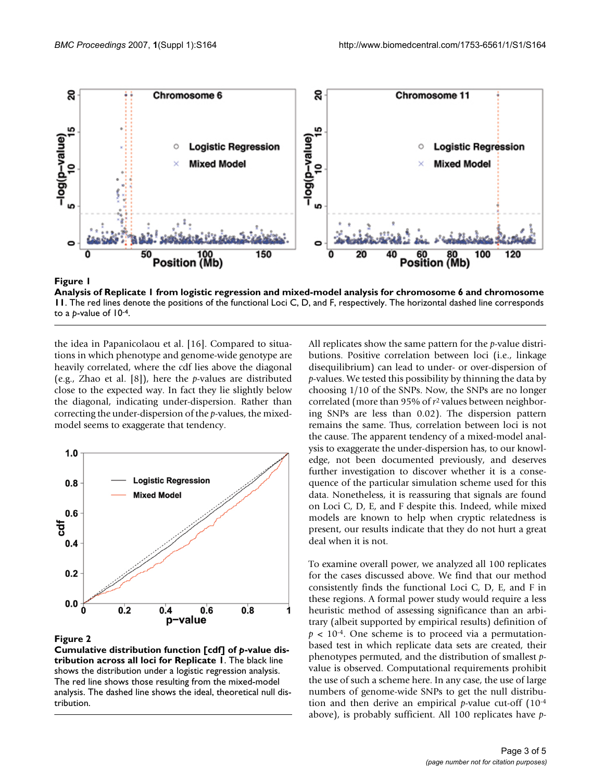

**Analysis of Replicate 1 from logistic regression and mixed-model analysis for chromosome 6 and chromosome 11**. The red lines denote the positions of the functional Loci C, D, and F, respectively. The horizontal dashed line corresponds to a *p*-value of 10-4.

the idea in Papanicolaou et al. [16]. Compared to situations in which phenotype and genome-wide genotype are heavily correlated, where the cdf lies above the diagonal (e.g., Zhao et al. [8]), here the *p*-values are distributed close to the expected way. In fact they lie slightly below the diagonal, indicating under-dispersion. Rather than correcting the under-dispersion of the *p*-values, the mixedmodel seems to exaggerate that tendency.



Figure 2

**Cumulative distribution function [cdf] of** *p***-value distribution across all loci for Replicate 1**. The black line shows the distribution under a logistic regression analysis. The red line shows those resulting from the mixed-model analysis. The dashed line shows the ideal, theoretical null distribution.

All replicates show the same pattern for the *p*-value distributions. Positive correlation between loci (i.e., linkage disequilibrium) can lead to under- or over-dispersion of *p*-values. We tested this possibility by thinning the data by choosing 1/10 of the SNPs. Now, the SNPs are no longer correlated (more than 95% of *r*2 values between neighboring SNPs are less than 0.02). The dispersion pattern remains the same. Thus, correlation between loci is not the cause. The apparent tendency of a mixed-model analysis to exaggerate the under-dispersion has, to our knowledge, not been documented previously, and deserves further investigation to discover whether it is a consequence of the particular simulation scheme used for this data. Nonetheless, it is reassuring that signals are found on Loci C, D, E, and F despite this. Indeed, while mixed models are known to help when cryptic relatedness is present, our results indicate that they do not hurt a great deal when it is not.

To examine overall power, we analyzed all 100 replicates for the cases discussed above. We find that our method consistently finds the functional Loci C, D, E, and F in these regions. A formal power study would require a less heuristic method of assessing significance than an arbitrary (albeit supported by empirical results) definition of  $p < 10^{-4}$ . One scheme is to proceed via a permutationbased test in which replicate data sets are created, their phenotypes permuted, and the distribution of smallest *p*value is observed. Computational requirements prohibit the use of such a scheme here. In any case, the use of large numbers of genome-wide SNPs to get the null distribution and then derive an empirical *p*-value cut-off (10-4 above), is probably sufficient. All 100 replicates have *p*-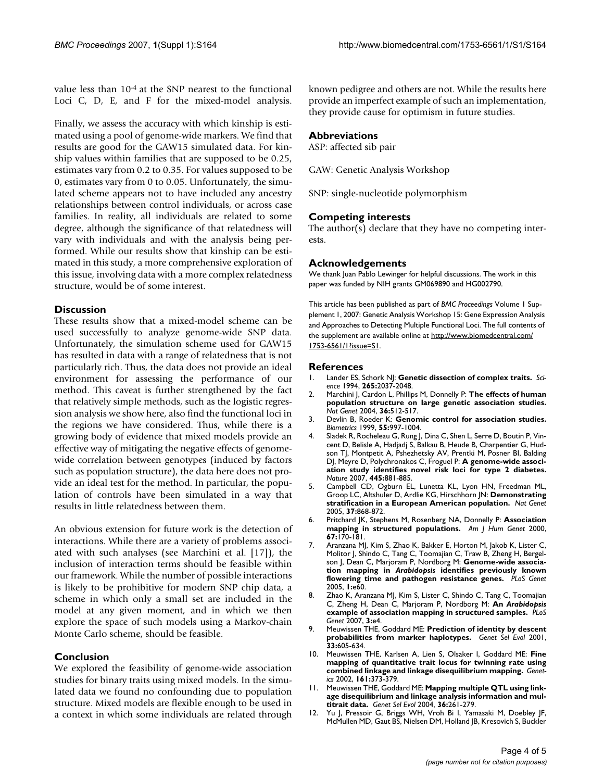value less than 10-4 at the SNP nearest to the functional Loci C, D, E, and F for the mixed-model analysis.

Finally, we assess the accuracy with which kinship is estimated using a pool of genome-wide markers. We find that results are good for the GAW15 simulated data. For kinship values within families that are supposed to be 0.25, estimates vary from 0.2 to 0.35. For values supposed to be 0, estimates vary from 0 to 0.05. Unfortunately, the simulated scheme appears not to have included any ancestry relationships between control individuals, or across case families. In reality, all individuals are related to some degree, although the significance of that relatedness will vary with individuals and with the analysis being performed. While our results show that kinship can be estimated in this study, a more comprehensive exploration of this issue, involving data with a more complex relatedness structure, would be of some interest.

# **Discussion**

These results show that a mixed-model scheme can be used successfully to analyze genome-wide SNP data. Unfortunately, the simulation scheme used for GAW15 has resulted in data with a range of relatedness that is not particularly rich. Thus, the data does not provide an ideal environment for assessing the performance of our method. This caveat is further strengthened by the fact that relatively simple methods, such as the logistic regression analysis we show here, also find the functional loci in the regions we have considered. Thus, while there is a growing body of evidence that mixed models provide an effective way of mitigating the negative effects of genomewide correlation between genotypes (induced by factors such as population structure), the data here does not provide an ideal test for the method. In particular, the population of controls have been simulated in a way that results in little relatedness between them.

An obvious extension for future work is the detection of interactions. While there are a variety of problems associated with such analyses (see Marchini et al. [17]), the inclusion of interaction terms should be feasible within our framework. While the number of possible interactions is likely to be prohibitive for modern SNP chip data, a scheme in which only a small set are included in the model at any given moment, and in which we then explore the space of such models using a Markov-chain Monte Carlo scheme, should be feasible.

# **Conclusion**

We explored the feasibility of genome-wide association studies for binary traits using mixed models. In the simulated data we found no confounding due to population structure. Mixed models are flexible enough to be used in a context in which some individuals are related through known pedigree and others are not. While the results here provide an imperfect example of such an implementation, they provide cause for optimism in future studies.

# **Abbreviations**

ASP: affected sib pair

GAW: Genetic Analysis Workshop

SNP: single-nucleotide polymorphism

# **Competing interests**

The author(s) declare that they have no competing interests.

### **Acknowledgements**

We thank Juan Pablo Lewinger for helpful discussions. The work in this paper was funded by NIH grants GM069890 and HG002790.

This article has been published as part of *BMC Proceedings* Volume 1 Supplement 1, 2007: Genetic Analysis Workshop 15: Gene Expression Analysis and Approaches to Detecting Multiple Functional Loci. The full contents of the supplement are available online at [http://www.biomedcentral.com/](http://www.biomedcentral.com/1753-6561/1?issue=S1) [1753-6561/1?issue=S1.](http://www.biomedcentral.com/1753-6561/1?issue=S1)

#### **References**

- 1. Lander ES, Schork NJ: **[Genetic dissection of complex traits.](http://www.ncbi.nlm.nih.gov/entrez/query.fcgi?cmd=Retrieve&db=PubMed&dopt=Abstract&list_uids=8091226)** *Science* 1994, **265:**2037-2048.
- 2. Marchini J, Cardon L, Phillips M, Donnelly P: **[The effects of human](http://www.ncbi.nlm.nih.gov/entrez/query.fcgi?cmd=Retrieve&db=PubMed&dopt=Abstract&list_uids=15052271) [population structure on large genetic association studies.](http://www.ncbi.nlm.nih.gov/entrez/query.fcgi?cmd=Retrieve&db=PubMed&dopt=Abstract&list_uids=15052271)** *Nat Genet* 2004, **36:**512-517.
- 3. Devlin B, Roeder K: **[Genomic control for association studies.](http://www.ncbi.nlm.nih.gov/entrez/query.fcgi?cmd=Retrieve&db=PubMed&dopt=Abstract&list_uids=11315092)** *Biometrics* 1999, **55:**997-1004.
- Sladek R, Rocheleau G, Rung J, Dina C, Shen L, Serre D, Boutin P, Vincent D, Belisle A, Hadjadj S, Balkau B, Heude B, Charpentier G, Hudson TJ, Montpetit A, Pshezhetsky AV, Prentki M, Posner BI, Balding DJ, Meyre D, Polychronakos C, Froguel P: **[A genome-wide associ](http://www.ncbi.nlm.nih.gov/entrez/query.fcgi?cmd=Retrieve&db=PubMed&dopt=Abstract&list_uids=17293876)[ation study identifies novel risk loci for type 2 diabetes.](http://www.ncbi.nlm.nih.gov/entrez/query.fcgi?cmd=Retrieve&db=PubMed&dopt=Abstract&list_uids=17293876)** *Nature* 2007, **445:**881-885.
- 5. Campbell CD, Ogburn EL, Lunetta KL, Lyon HN, Freedman ML, Groop LC, Altshuler D, Ardlie KG, Hirschhorn JN: **[Demonstrating](http://www.ncbi.nlm.nih.gov/entrez/query.fcgi?cmd=Retrieve&db=PubMed&dopt=Abstract&list_uids=16041375) [stratification in a European American population.](http://www.ncbi.nlm.nih.gov/entrez/query.fcgi?cmd=Retrieve&db=PubMed&dopt=Abstract&list_uids=16041375)** *Nat Genet* 2005, **37:**868-872.
- 6. Pritchard JK, Stephens M, Rosenberg NA, Donnelly P: **[Association](http://www.ncbi.nlm.nih.gov/entrez/query.fcgi?cmd=Retrieve&db=PubMed&dopt=Abstract&list_uids=10827107) [mapping in structured populations.](http://www.ncbi.nlm.nih.gov/entrez/query.fcgi?cmd=Retrieve&db=PubMed&dopt=Abstract&list_uids=10827107)** *Am J Hum Genet* 2000, **67:**170-181.
- 7. Aranzana MJ, Kim S, Zhao K, Bakker E, Horton M, Jakob K, Lister C, Molitor J, Shindo C, Tang C, Toomajian C, Traw B, Zheng H, Bergelson J, Dean C, Marjoram P, Nordborg M: Genome-wide associa**tion mapping in** *Arabidopsis* **[identifies previously known](http://www.ncbi.nlm.nih.gov/entrez/query.fcgi?cmd=Retrieve&db=PubMed&dopt=Abstract&list_uids=16292355) [flowering time and pathogen resistance genes.](http://www.ncbi.nlm.nih.gov/entrez/query.fcgi?cmd=Retrieve&db=PubMed&dopt=Abstract&list_uids=16292355)** *PLoS Genet* 2005, **1:**e60.
- 8. Zhao K, Aranzana MJ, Kim S, Lister C, Shindo C, Tang C, Toomajian C, Zheng H, Dean C, Marjoram P, Nordborg M: **An** *Arabidopsis* **[example of association mapping in structured samples.](http://www.ncbi.nlm.nih.gov/entrez/query.fcgi?cmd=Retrieve&db=PubMed&dopt=Abstract&list_uids=17238287)** *PLoS Genet* 2007, **3:**e4.
- 9. Meuwissen THE, Goddard ME: **[Prediction of identity by descent](http://www.ncbi.nlm.nih.gov/entrez/query.fcgi?cmd=Retrieve&db=PubMed&dopt=Abstract&list_uids=11742632) [probabilities from marker haplotypes.](http://www.ncbi.nlm.nih.gov/entrez/query.fcgi?cmd=Retrieve&db=PubMed&dopt=Abstract&list_uids=11742632)** *Genet Sel Evol* 2001, **33:**605-634.
- 10. Meuwissen THE, Karlsen A, Lien S, Olsaker I, Goddard ME: **[Fine](http://www.ncbi.nlm.nih.gov/entrez/query.fcgi?cmd=Retrieve&db=PubMed&dopt=Abstract&list_uids=12019251) [mapping of quantitative trait locus for twinning rate using](http://www.ncbi.nlm.nih.gov/entrez/query.fcgi?cmd=Retrieve&db=PubMed&dopt=Abstract&list_uids=12019251) [combined linkage and linkage disequilibrium mapping.](http://www.ncbi.nlm.nih.gov/entrez/query.fcgi?cmd=Retrieve&db=PubMed&dopt=Abstract&list_uids=12019251)** *Genetics* 2002, **161:**373-379.
- 11. Meuwissen THE, Goddard ME: **[Mapping multiple QTL using link](http://www.ncbi.nlm.nih.gov/entrez/query.fcgi?cmd=Retrieve&db=PubMed&dopt=Abstract&list_uids=15107266)[age disequilibrium and linkage analysis information and mul](http://www.ncbi.nlm.nih.gov/entrez/query.fcgi?cmd=Retrieve&db=PubMed&dopt=Abstract&list_uids=15107266)[titrait data.](http://www.ncbi.nlm.nih.gov/entrez/query.fcgi?cmd=Retrieve&db=PubMed&dopt=Abstract&list_uids=15107266)** *Genet Sel Evol* 2004, **36:**261-279.
- 12. Yu J, Pressoir G, Briggs WH, Vroh Bi I, Yamasaki M, Doebley JF, McMullen MD, Gaut BS, Nielsen DM, Holland JB, Kresovich S, Buckler